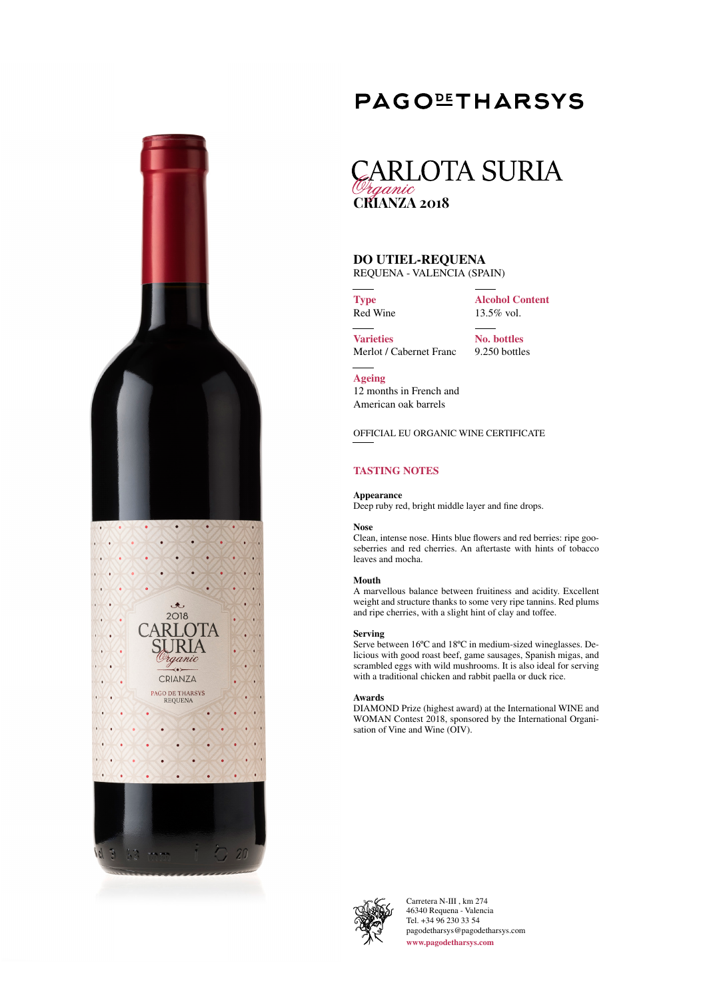

# **PAGOLETHARSYS**

# **CARLOTA SURIA** raanic **CRIANZA 2018**

# **DO UTIEL-REQUENA**

REQUENA - VALENCIA (SPAIN)

**Type** Red Wine **Alcohol Content** 13.5% vol.

**Varieties** Merlot / Cabernet Franc

**No. bottles** 9.250 bottles

**Ageing**

12 months in French and American oak barrels

OFFICIAL EU ORGANIC WINE CERTIFICATE

**TASTING NOTES**

## **Appearance**

Deep ruby red, bright middle layer and fine drops.

## **Nose**

Clean, intense nose. Hints blue flowers and red berries: ripe gooseberries and red cherries. An aftertaste with hints of tobacco leaves and mocha.

### **Mouth**

A marvellous balance between fruitiness and acidity. Excellent weight and structure thanks to some very ripe tannins. Red plums and ripe cherries, with a slight hint of clay and toffee.

## **Serving**

Serve between 16ºC and 18ºC in medium-sized wineglasses. Delicious with good roast beef, game sausages, Spanish migas, and scrambled eggs with wild mushrooms. It is also ideal for serving with a traditional chicken and rabbit paella or duck rice.

### **Awards**

DIAMOND Prize (highest award) at the International WINE and WOMAN Contest 2018, sponsored by the International Organisation of Vine and Wine (OIV).



Carretera N-III , km 274 46340 Requena - Valencia Tel. +34 96 230 33 54 pagodetharsys@pagodetharsys.com **www.pagodetharsys.com**